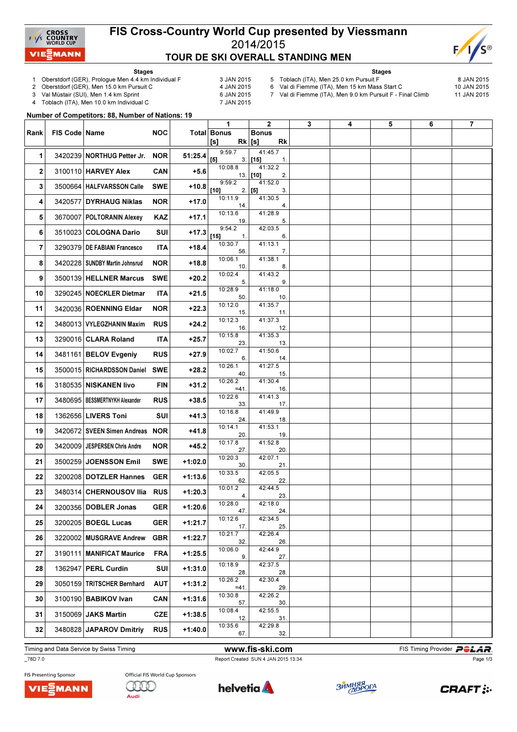

### FIS Cross-Country World Cup presented by Viessmann 2014/2015 TOUR DE SKI OVERALL STANDING MEN



Stages

- 1 Oberstdorf (GER), Prologue Men 4.4 km Individual F 3 JAN 2015<br>2 Oberstdorf (GER), Men 15.0 km Pursuit C 4 JAN 2015
- 2 Oberstdorf (GER), Men 15.0 km Pursuit C

3 Val Müstair (SUI), Men 1.4 km Sprint 6 JAN 2015<br>4 Toblach (ITA), Men 10.0 km Individual C 6 7 JAN 2015

Toblach (ITA), Men 10.0 km Individual C

- Stages
- 5 Toblach (ITA), Men 25.0 km Pursuit F  $\sim$  8 JAN 2015<br>6 Val di Fiemme (ITA), Men 15 km Mass Start C 10 JAN 2015 6 Val di Fiemme (ITA), Men 15 km Mass Start C

7 Val di Fiemme (ITA), Men 9.0 km Pursuit F - Final Climb 11 JAN 2015

Number of Competitors: 88, Number of Nations: 19

|      |                 |                                  |            |           | 1                         | $\mathbf{2}$                | 3 | 4 | 5 | 6 | $\overline{7}$ |
|------|-----------------|----------------------------------|------------|-----------|---------------------------|-----------------------------|---|---|---|---|----------------|
| Rank | FIS Code   Name |                                  | NOC.       |           | <b>Total Bonus</b>        | <b>Bonus</b>                |   |   |   |   |                |
|      |                 |                                  |            |           | $Rk$ [s]<br>[s]<br>9:59.7 | Rk<br>41:45.7               |   |   |   |   |                |
| 1    |                 | 3420239 NORTHUG Petter Jr.       | <b>NOR</b> | 51:25.4   | [5]                       | $3.$ [15]<br>1.             |   |   |   |   |                |
| 2    |                 | 3100110 HARVEY Alex              | CAN        | $+5.6$    | 10:08.8                   | 41:32.2<br>$13.$ [10]<br>2. |   |   |   |   |                |
| 3    |                 | 3500664   HALFVARSSON Calle      | <b>SWE</b> | $+10.8$   | 9:59.2<br>$[10]$          | 41:52.0<br>3.<br>$2.$ [5]   |   |   |   |   |                |
| 4    |                 | 3420577 DYRHAUG Niklas           | NOR        | +17.0     | 10:11.9<br>14.            | 41:30.5<br>4.               |   |   |   |   |                |
| 5    |                 | 3670007   POLTORANIN Alexey      | <b>KAZ</b> | +17.1     | 10:13.6<br>19.            | 41:28.9<br>5.               |   |   |   |   |                |
| 6    |                 | 3510023 COLOGNA Dario            | SUI        | $+17.3$   | 9:54.2<br>[15]<br>1.      | 42:03.5<br>6.               |   |   |   |   |                |
| 7    |                 | 3290379   DE FABIANI Francesco   | ITA        | +18.4     | 10:30.7<br>56.            | 41:13.1<br>7.               |   |   |   |   |                |
| 8    |                 | 3420228   SUNDBY Martin Johnsrud | NOR.       | $+18.8$   | 10:06.1<br>10.            | 41:38.1<br>8.               |   |   |   |   |                |
| 9    |                 | 3500139 HELLNER Marcus           | <b>SWE</b> | $+20.2$   | 10:02.4<br>5.             | 41:43.2<br>9.               |   |   |   |   |                |
| 10   |                 | 3290245   NOECKLER Dietmar       | ITA.       | $+21.5$   | 10:28.9<br>50.            | 41:18.0<br>10.              |   |   |   |   |                |
| 11   |                 | 3420036 ROENNING Eldar           | NOR.       | $+22.3$   | 10:12.0<br>15.            | 41:35.7<br>11.              |   |   |   |   |                |
| 12   |                 | 3480013   VYLEGZHANIN Maxim      | <b>RUS</b> | $+24.2$   | 10:12.3<br>16.            | 41:37.3<br>12.              |   |   |   |   |                |
| 13   |                 | 3290016 CLARA Roland             | ITA        | $+25.7$   | 10:15.8<br>23.            | 41:35.3<br>13.              |   |   |   |   |                |
| 14   |                 | 3481161 BELOV Evgeniy            | <b>RUS</b> | $+27.9$   | 10:02.7<br>6.             | 41:50.6<br>14.              |   |   |   |   |                |
| 15   |                 | 3500015   RICHARDSSON Daniel     | <b>SWE</b> | $+28.2$   | 10:26.1<br>40.            | 41:27.5<br>15.              |   |   |   |   |                |
| 16   |                 | 3180535 NISKANEN livo            | FIN        | $+31.2$   | 10:26.2<br>$=41.$         | 41:30.4<br>16.              |   |   |   |   |                |
| 17   |                 | 3480695   BESSMERTNYKH Alexander | <b>RUS</b> | $+38.5$   | 10:22.6<br>33.            | 41:41.3<br>17.              |   |   |   |   |                |
| 18   |                 | 1362656 LIVERS Toni              | SUI        | $+41.3$   | 10:16.8<br>24.            | 41:49.9<br>18.              |   |   |   |   |                |
| 19   |                 | 3420672 SVEEN Simen Andreas NOR  |            | +41.8     | 10:14.1<br>20.            | 41:53.1<br>19.              |   |   |   |   |                |
| 20   |                 | 3420009   JESPERSEN Chris Andre  | NOR        | $+45.2$   | 10:17.8<br>27.            | 41:52.8<br>20.              |   |   |   |   |                |
| 21   |                 | 3500259 JOENSSON Emil            | SWE        | +1:02.0   | 10:20.3<br>30.            | 42:07.1<br>21.              |   |   |   |   |                |
| 22   |                 | 3200208 DOTZLER Hannes           | <b>GER</b> | $+1:13.6$ | 10:33.5<br>62.            | 42:05.5<br>22.              |   |   |   |   |                |
| 23   |                 | 3480314 CHERNOUSOV IIia RUS      |            | $+1:20.3$ | 10:01.2<br>4.             | 42:44.5<br>23.              |   |   |   |   |                |
| 24   |                 | 3200356 DOBLER Jonas             | <b>GER</b> | $+1:20.6$ | 10:28.0<br>47.            | 42:18.0<br>24.              |   |   |   |   |                |
| 25   |                 | 3200205 BOEGL Lucas              | <b>GER</b> | $+1:21.7$ | 10:12.6<br>17.            | 42:34.5<br>25.              |   |   |   |   |                |
| 26   |                 | 3220002 MUSGRAVE Andrew          | <b>GBR</b> | $+1:22.7$ | 10:21.7<br>32.            | 42:26.4<br>26.              |   |   |   |   |                |
| 27   |                 | 3190111   MANIFICAT Maurice      | <b>FRA</b> | $+1:25.5$ | 10:06.0<br>9.             | 42:44.9<br>27.              |   |   |   |   |                |
| 28   |                 | 1362947 PERL Curdin              | <b>SUI</b> | $+1:31.0$ | 10:18.9<br>28.            | 42:37.5<br>28.              |   |   |   |   |                |
| 29   |                 | 3050159 TRITSCHER Bernhard       | AUT        | $+1:31.2$ | 10:26.2<br>$=41.$         | 42:30.4<br>29.              |   |   |   |   |                |
| 30   |                 | 3100190 BABIKOV Ivan             | CAN        | $+1:31.6$ | 10:30.8<br>57.            | 42:26.2<br>30.              |   |   |   |   |                |
| 31   |                 | 3150069 JAKS Martin              | <b>CZE</b> | $+1:38.5$ | 10:08.4<br>12.            | 42:55.5<br>31.              |   |   |   |   |                |
| 32   |                 | 3480828 JAPAROV Dmitriy          | <b>RUS</b> | $+1:40.0$ | 10:35.6<br>67.            | 42:29.8<br>32.              |   |   |   |   |                |

Timing and Data Service by Swiss Timing **Example 20 and Service by Swiss Timing Provider PCLAR** 

\_78D 7.0 Report Created SUN 4 JAN 2015 13:34

Page 1/3



FIS Presenting Sponsor





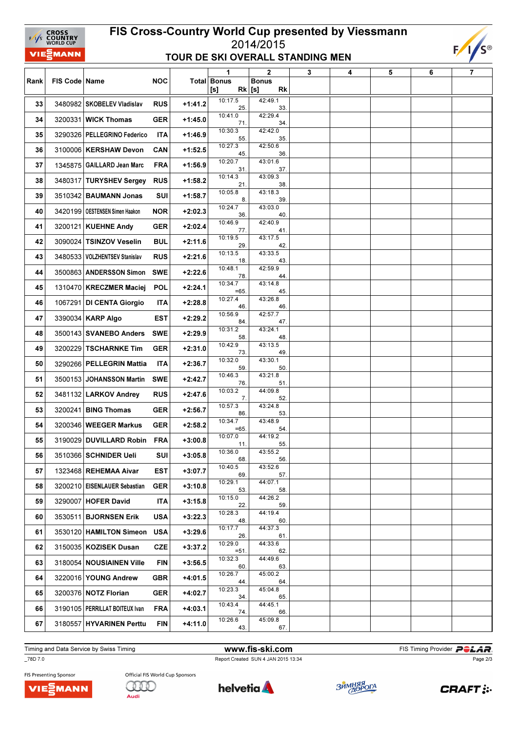# FIS Cross-Country World Cup presented by Viessmann 2014/2015 TOUR DE SKI OVERALL STANDING MEN



| Rank | FIS Code   Name |                                  | <b>NOC</b> |           | 1                         | $\mathbf 2$                           | 3 | 4 | 5 | 6 | $\overline{7}$ |
|------|-----------------|----------------------------------|------------|-----------|---------------------------|---------------------------------------|---|---|---|---|----------------|
|      |                 |                                  |            |           | <b>Total Bonus</b><br>[s] | <b>Bonus</b><br>$Rk$ [s]<br><b>Rk</b> |   |   |   |   |                |
| 33   |                 | 3480982 SKOBELEV Vladislav       | <b>RUS</b> | $+1:41.2$ | 10:17.5<br>25.            | 42:49.1<br>33.                        |   |   |   |   |                |
| 34   |                 | 3200331 WICK Thomas              | <b>GER</b> | $+1:45.0$ | 10:41.0<br>71.            | 42:29.4<br>34.                        |   |   |   |   |                |
| 35   |                 | 3290326 PELLEGRINO Federico      | <b>ITA</b> | $+1:46.9$ | 10:30.3<br>55.            | 42:42.0<br>35.                        |   |   |   |   |                |
| 36   |                 | 3100006 KERSHAW Devon            | CAN        | $+1:52.5$ | 10:27.3<br>45.            | 42:50.6<br>36.                        |   |   |   |   |                |
| 37   |                 | 1345875 GAILLARD Jean Marc       | <b>FRA</b> | $+1:56.9$ | 10:20.7<br>31.            | 43:01.6<br>37.                        |   |   |   |   |                |
| 38   |                 | 3480317 TURYSHEV Sergey          | <b>RUS</b> | $+1:58.2$ | 10:14.3<br>21.            | 43:09.3<br>38.                        |   |   |   |   |                |
| 39   |                 | 3510342 BAUMANN Jonas            | SUI        | $+1:58.7$ | 10:05.8<br>8.             | 43:18.3<br>39.                        |   |   |   |   |                |
| 40   |                 | 3420199   OESTENSEN Simen Haakon | <b>NOR</b> | $+2:02.3$ | 10:24.7<br>36.            | 43:03.0<br>40.                        |   |   |   |   |                |
| 41   |                 | 3200121 KUEHNE Andy              | <b>GER</b> | $+2:02.4$ | 10:46.9<br>77.            | 42:40.9<br>41.                        |   |   |   |   |                |
| 42   |                 | 3090024 TSINZOV Veselin          | <b>BUL</b> | $+2:11.6$ | 10:19.5<br>29.            | 43:17.5<br>42.                        |   |   |   |   |                |
| 43   |                 | 3480533 VOLZHENTSEV Stanislav    | <b>RUS</b> | $+2:21.6$ | 10:13.5<br>18.            | 43:33.5<br>43.                        |   |   |   |   |                |
| 44   |                 | 3500863 ANDERSSON Simon          | <b>SWE</b> | $+2:22.6$ | 10:48.1<br>78.            | 42:59.9<br>44.                        |   |   |   |   |                |
| 45   |                 | 1310470 KRECZMER Maciej          | <b>POL</b> | $+2:24.1$ | 10:34.7<br>$=65.$         | 43:14.8<br>45.                        |   |   |   |   |                |
| 46   |                 | 1067291 DI CENTA Giorgio         | ITA        | +2:28.8   | 10:27.4<br>46.            | 43:26.8<br>46.                        |   |   |   |   |                |
| 47   |                 | 3390034 KARP Algo                | <b>EST</b> | $+2:29.2$ | 10:56.9<br>84.            | 42:57.7<br>47.                        |   |   |   |   |                |
| 48   |                 | 3500143 SVANEBO Anders           | <b>SWE</b> | $+2:29.9$ | 10:31.2<br>58.            | 43:24.1<br>48.                        |   |   |   |   |                |
| 49   |                 | 3200229 TSCHARNKE Tim            | GER        | $+2:31.0$ | 10:42.9<br>73.            | 43:13.5<br>49.                        |   |   |   |   |                |
| 50   |                 | 3290266 PELLEGRIN Mattia         | <b>ITA</b> | $+2:36.7$ | 10:32.0<br>59.            | 43:30.1<br>50.                        |   |   |   |   |                |
| 51   |                 | 3500153 JOHANSSON Martin         | <b>SWE</b> | $+2:42.7$ | 10:46.3<br>76.            | 43:21.8<br>51.                        |   |   |   |   |                |
| 52   |                 | 3481132 LARKOV Andrey            | <b>RUS</b> | $+2:47.6$ | 10:03.2<br>7.             | 44:09.8<br>52.                        |   |   |   |   |                |
| 53   |                 | 3200241 BING Thomas              | <b>GER</b> | $+2:56.7$ | 10:57.3<br>86             | 43:24.8<br>53.                        |   |   |   |   |                |
| 54   |                 | 3200346   WEEGER Markus          | <b>GER</b> | $+2:58.2$ | 10:34.7<br>$=65$ .        | 43:48.9<br>54.                        |   |   |   |   |                |
| 55   |                 | 3190029 DUVILLARD Robin          | <b>FRA</b> | $+3:00.8$ | 10:07.0<br>11.            | 44:19.2<br>55.                        |   |   |   |   |                |
| 56   |                 | 3510366 SCHNIDER Ueli            | SUI∣       | $+3:05.8$ | 10:36.0<br>68.            | 43:55.2<br>56.                        |   |   |   |   |                |
| 57   |                 | 1323468 REHEMAA Aivar            | EST        | +3:07.7   | 10:40.5<br>69.            | 43:52.6<br>57.                        |   |   |   |   |                |
| 58   |                 | 3200210   EISENLAUER Sebastian   | <b>GER</b> | $+3:10.8$ | 10:29.1<br>53.            | 44:07.1<br>58.                        |   |   |   |   |                |
| 59   |                 | 3290007 HOFER David              | ITA        | $+3:15.8$ | 10:15.0<br>22.            | 44:26.2<br>59.                        |   |   |   |   |                |
| 60   |                 | 3530511 BJORNSEN Erik            | <b>USA</b> | $+3:22.3$ | 10:28.3<br>48.            | 44:19.4<br>60.                        |   |   |   |   |                |
| 61   |                 | 3530120   HAMILTON Simeon        | <b>USA</b> | $+3:29.6$ | 10:17.7<br>26.            | 44:37.3<br>61.                        |   |   |   |   |                |
| 62   |                 | 3150035   KOZISEK Dusan          | <b>CZE</b> | $+3:37.2$ | 10:29.0<br>$= 51.$        | 44:33.6<br>62.                        |   |   |   |   |                |
| 63   |                 | 3180054 NOUSIAINEN Ville         | <b>FIN</b> | $+3:56.5$ | 10:32.3<br>60.            | 44:49.6<br>63.                        |   |   |   |   |                |
| 64   |                 | 3220016 YOUNG Andrew             | GBR        | $+4:01.5$ | 10:26.7<br>44.            | 45:00.2<br>64.                        |   |   |   |   |                |
| 65   |                 | 3200376 NOTZ Florian             | <b>GER</b> | $+4:02.7$ | 10:23.3<br>34.            | 45:04.8<br>65.                        |   |   |   |   |                |
| 66   |                 | 3190105   PERRILLAT BOITEUX Ivan | <b>FRA</b> | $+4:03.1$ | 10:43.4<br>74.            | 44:45.1<br>66.                        |   |   |   |   |                |
| 67   |                 | 3180557 HYVARINEN Perttu         | <b>FIN</b> | $+4:11.0$ | 10:26.6<br>43.            | 45:09.8<br>67.                        |   |   |   |   |                |

Timing and Data Service by Swiss Timing **Example 20 and The Ski.com** FIS Timing Provider **PCLAR** 

# \_78D 7.0 Report Created SUN 4 JAN 2015 13:34

Page 2/3

FIS Presenting Sponsor VIEZMANN

EAS CROSS

VIE<sup>S</sup>MANN